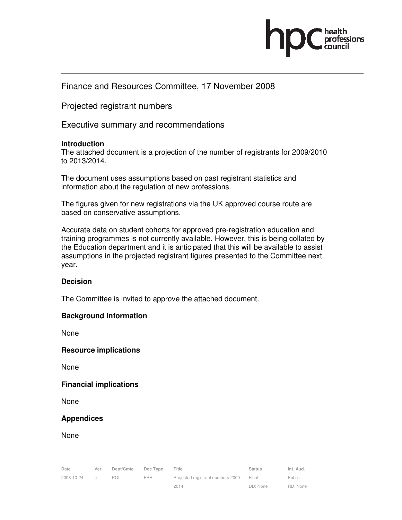

# Finance and Resources Committee, 17 November 2008

Projected registrant numbers

Executive summary and recommendations

# **Introduction**

The attached document is a projection of the number of registrants for 2009/2010 to 2013/2014.

The document uses assumptions based on past registrant statistics and information about the regulation of new professions.

The figures given for new registrations via the UK approved course route are based on conservative assumptions.

Accurate data on student cohorts for approved pre-registration education and training programmes is not currently available. However, this is being collated by the Education department and it is anticipated that this will be available to assist assumptions in the projected registrant figures presented to the Committee next year.

## **Decision**

The Committee is invited to approve the attached document.

# **Background information**

None

**Resource implications** 

None

## **Financial implications**

None

# **Appendices**

None

| Date       | Ver.           | Dept/Cmte | Doc Type   | Title                              | <b>Status</b> | Int. Aud. |
|------------|----------------|-----------|------------|------------------------------------|---------------|-----------|
| 2008-10-24 | $\overline{a}$ | POL       | <b>PPR</b> | Projected registrant numbers 2009- | Final         | Public    |
|            |                |           |            | 2014                               | DD: None      | RD: None  |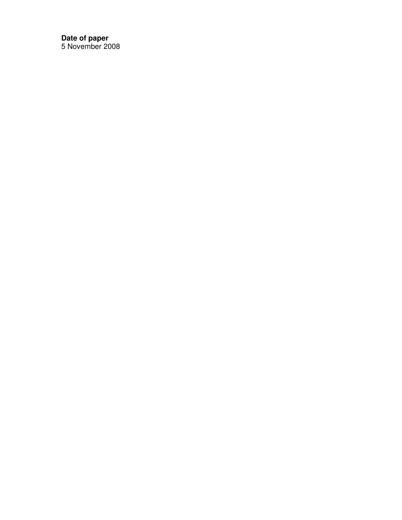**Date of paper**  5 November 2008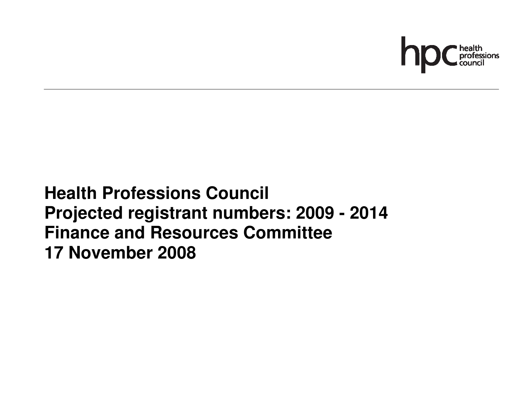

# **Health Professions Council Projected registrant numbers: 2009 - 2014 Finance and Resources Committee 17 November 2008**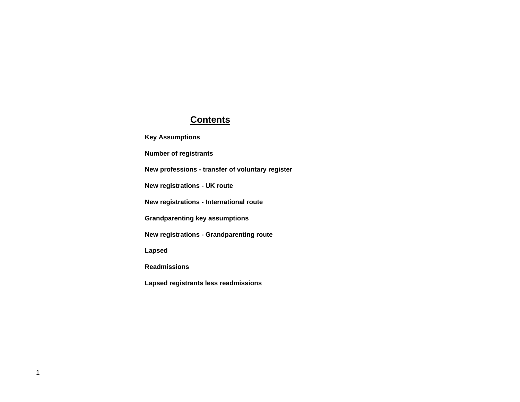# **Contents**

**Key Assumptions**

**Number of registrants**

**New professions - transfer of voluntary register**

**New registrations - UK route**

**New registrations - International route**

**Grandparenting key assumptions**

**New registrations - Grandparenting route**

**Lapsed**

**Readmissions**

**Lapsed registrants less readmissions**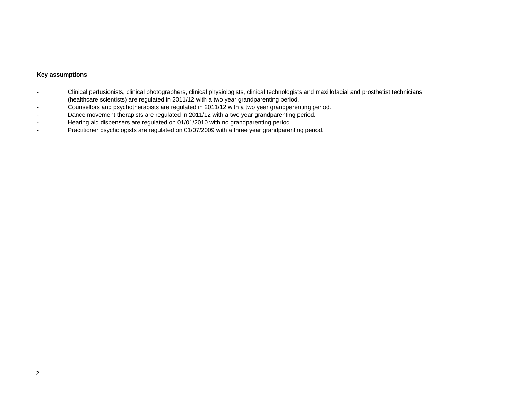## **Key assumptions**

- - Clinical perfusionists, clinical photographers, clinical physiologists, clinical technologists and maxillofacial and prosthetist technicians (healthcare scientists) are regulated in 2011/12 with a two year grandparenting period.
- Counsellors and psychotherapists are regulated in 2011/12 with a two year grandparenting period.
- -Dance movement therapists are regulated in 2011/12 with a two year grandparenting period.
- -Hearing aid dispensers are regulated on 01/01/2010 with no grandparenting period.
- Practitioner psychologists are regulated on 01/07/2009 with a three year grandparenting period.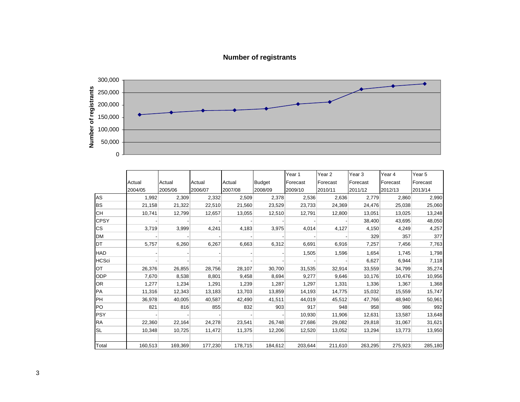# **Number of registrants**



|                 |         |         |         |         |               | Year 1   | Year 2   | Year 3   | Year 4   | Year 5   |
|-----------------|---------|---------|---------|---------|---------------|----------|----------|----------|----------|----------|
|                 | Actual  | Actual  | Actual  | Actual  | <b>Budget</b> | Forecast | Forecast | Forecast | Forecast | Forecast |
|                 | 2004/05 | 2005/06 | 2006/07 | 2007/08 | 2008/09       | 2009/10  | 2010/11  | 2011/12  | 2012/13  | 2013/14  |
| AS              | 1,992   | 2,309   | 2,332   | 2,509   | 2,378         | 2,536    | 2,636    | 2,779    | 2,860    | 2,990    |
| <b>BS</b>       | 21,158  | 21,322  | 22,510  | 21,560  | 23,529        | 23,733   | 24,369   | 24,476   | 25,038   | 25,060   |
| <b>CH</b>       | 10.741  | 12,799  | 12,657  | 13,055  | 12,510        | 12,791   | 12,800   | 13,051   | 13,025   | 13,248   |
| <b>CPSY</b>     |         |         |         |         |               |          |          | 38,400   | 43,695   | 48,050   |
| <b>CS</b>       | 3,719   | 3,999   | 4,241   | 4,183   | 3,975         | 4,014    | 4,127    | 4,150    | 4,249    | 4,257    |
| <b>DM</b>       |         |         |         |         |               |          |          | 329      | 357      | 377      |
| DT              | 5,757   | 6,260   | 6,267   | 6,663   | 6,312         | 6,691    | 6,916    | 7,257    | 7,456    | 7,763    |
| HAD             |         |         |         |         |               | 1,505    | 1,596    | 1,654    | 1,745    | 1,798    |
| <b>HCSci</b>    |         |         |         |         |               |          |          | 6,627    | 6,944    | 7,118    |
| OT              | 26,376  | 26,855  | 28,756  | 28,107  | 30,700        | 31,535   | 32,914   | 33,559   | 34,799   | 35,274   |
| ODP             | 7,670   | 8,538   | 8,801   | 9,458   | 8,694         | 9,277    | 9,646    | 10,176   | 10,476   | 10,956   |
| OR <sub>.</sub> | 1,277   | 1,234   | 1,291   | 1,239   | 1,287         | 1,297    | 1,331    | 1,336    | 1,367    | 1,368    |
| PA              | 11,316  | 12,343  | 13,183  | 13,703  | 13,859        | 14,193   | 14,775   | 15,032   | 15,559   | 15,747   |
| PH              | 36,978  | 40,005  | 40,587  | 42,490  | 41,511        | 44,019   | 45,512   | 47,766   | 48,940   | 50,961   |
| PO              | 821     | 816     | 855     | 832     | 903           | 917      | 948      | 958      | 986      | 992      |
| <b>PSY</b>      |         |         |         |         |               | 10,930   | 11,906   | 12,631   | 13,587   | 13,648   |
| <b>RA</b>       | 22,360  | 22,164  | 24,278  | 23,541  | 26,748        | 27,686   | 29,082   | 29,818   | 31,067   | 31,621   |
| <b>SL</b>       | 10,348  | 10,725  | 11,472  | 11,375  | 12,206        | 12,520   | 13,052   | 13,294   | 13,773   | 13,950   |
| Total           | 160,513 | 169,369 | 177,230 | 178,715 | 184,612       | 203,644  | 211,610  | 263,295  | 275,923  | 285,180  |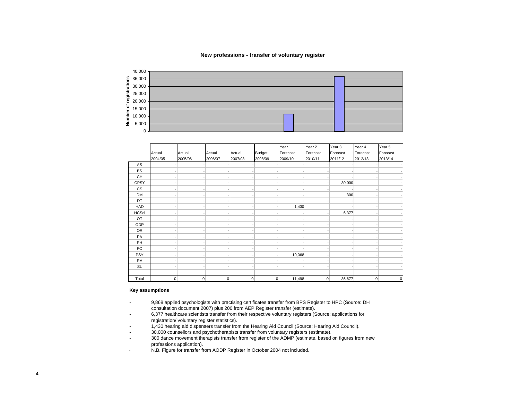#### **New professions - transfer of voluntary register**

|    | 40,000                            |  |  |
|----|-----------------------------------|--|--|
|    | 235,000                           |  |  |
| ក  | $\frac{3}{8}$ 30,000              |  |  |
|    |                                   |  |  |
|    | $\frac{15}{8}$ 25,000<br>2 20,000 |  |  |
|    |                                   |  |  |
|    |                                   |  |  |
| ৳  | 15,000                            |  |  |
| ā  | 10,000                            |  |  |
| 읕  |                                   |  |  |
| Ξ. | 5,000                             |  |  |
|    |                                   |  |  |
|    | $\cap$                            |  |  |

|                          |              |                |         |              |                | Year 1   | Year 2         | Year 3   | Year 4   | Year 5      |
|--------------------------|--------------|----------------|---------|--------------|----------------|----------|----------------|----------|----------|-------------|
|                          | Actual       | Actual         | Actual  | Actual       | <b>Budget</b>  | Forecast | Forecast       | Forecast | Forecast | Forecast    |
|                          | 2004/05      | 2005/06        | 2006/07 | 2007/08      | 2008/09        | 2009/10  | 2010/11        | 2011/12  | 2012/13  | 2013/14     |
| AS                       |              |                |         |              |                |          |                |          |          |             |
| <b>BS</b>                |              |                |         |              |                |          |                |          |          |             |
| CH                       |              |                |         |              |                |          |                |          |          |             |
| <b>CPSY</b>              |              |                |         |              |                |          |                | 30,000   |          |             |
| $\mathsf{CS}\phantom{0}$ |              |                |         |              |                |          |                |          |          |             |
| <b>DM</b>                |              |                |         |              |                |          |                | 300      |          |             |
| DT                       |              |                |         |              |                |          |                |          |          |             |
| HAD                      |              |                |         |              |                | 1,430    |                |          |          |             |
| <b>HCSci</b>             |              |                |         |              |                |          |                | 6,377    |          |             |
| OT                       |              |                |         |              |                |          |                |          |          |             |
| ODP                      |              |                |         |              |                |          |                |          |          |             |
| OR                       |              |                |         |              |                |          |                |          |          |             |
| PA                       |              |                |         |              |                |          |                |          |          |             |
| PH                       |              |                |         |              |                |          |                |          |          |             |
| PO                       |              |                |         |              |                |          |                |          |          |             |
| PSY                      |              |                |         |              |                | 10,068   |                |          |          |             |
| RA                       |              |                |         |              |                |          |                |          |          |             |
| SL                       |              |                |         |              |                |          |                |          |          |             |
|                          |              |                |         |              |                |          |                |          |          |             |
| Total                    | $\mathbf{0}$ | $\overline{0}$ | 0       | $\mathbf{0}$ | $\overline{0}$ | 11,498   | $\overline{0}$ | 36,677   | 0        | $\mathbf 0$ |

#### **Key assumptions**

- 9,868 applied psychologists with practising certificates transfer from BPS Register to HPC (Source: DH consultation document 2007) plus 200 from AEP Register transfer (estimate).
- 6,377 healthcare scientists transfer from their respective voluntary registers (Source: applications for registration/ voluntary register statistics).
- 1,430 hearing aid dispensers transfer from the Hearing Aid Council (Source: Hearing Aid Council).
- 30,000 counsellors and psychotherapists transfer from voluntary registers (estimate).
- 300 dance movement therapists transfer from register of the ADMP (estimate, based on figures from new professions application).
- N.B. Figure for transfer from AODP Register in October 2004 not included.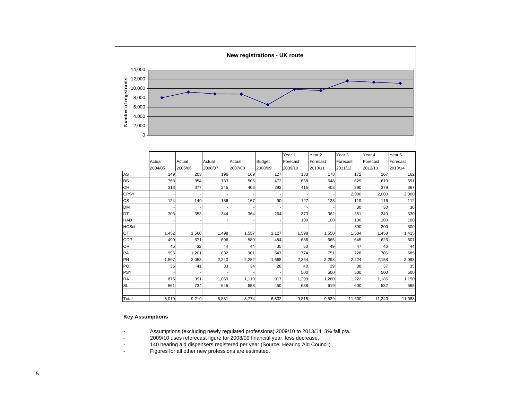

|              |         |         |         |         |               | Year 1   | Year <sub>2</sub> | Year <sub>3</sub> | Year 4   | Year 5   |
|--------------|---------|---------|---------|---------|---------------|----------|-------------------|-------------------|----------|----------|
|              | Actual  | Actual  | Actual  | Actual  | <b>Budget</b> | Forecast | Forecast          | Forecast          | Forecast | Forecast |
|              | 2004/05 | 2005/06 | 2006/07 | 2007/08 | 2008/09       | 2009/10  | 2010/11           | 2011/12           | 2012/13  | 2013/14  |
| AS           | 149     | 203     | 196     | 169     | 127           | 183      | 178               | 172               | 167      | 162      |
| <b>BS</b>    | 768     | 854     | 733     | 505     | 472           | 668      | 648               | 629               | 610      | 591      |
| <b>CH</b>    | 313     | 377     | 345     | 403     | 293           | 415      | 403               | 390               | 379      | 367      |
| <b>CPSY</b>  |         |         |         |         |               |          |                   | 2,000             | 2,000    | 2,000    |
| <b>CS</b>    | 124     | 149     | 156     | 167     | 90            | 127      | 123               | 119               | 116      | 112      |
| <b>DM</b>    |         |         |         |         |               |          |                   | 30                | 30       | 30       |
| DT           | 303     | 353     | 344     | 364     | 264           | 373      | 362               | 351               | 340      | 330      |
| HAD          |         |         |         |         |               | 100      | 100               | 100               | 100      | 100      |
| <b>HCSci</b> |         |         |         |         |               |          |                   | 300               | 300      | 300      |
| <b>OT</b>    | 1,452   | 1,560   | 1,498   | 1,557   | 1,127         | 1,598    | 1,550             | 1,504             | 1,458    | 1,415    |
| ODP          | 490     | 671     | 696     | 580     | 484           | 686      | 665               | 645               | 626      | 607      |
| <b>OR</b>    | 46      | 32      | 44      | 44      | 35            | 50       | 49                | 47                | 46       | 44       |
| PA           | 996     | 1,201   | 832     | 901     | 547           | 774      | 751               | 728               | 706      | 685      |
| PH           | 1,897   | 2,053   | 2,240   | 2,282   | 1,668         | 2,364    | 2,293             | 2,224             | 2,158    | 2,093    |
| PO           | 36      | 41      | 33      | 34      | 28            | 40       | 39                | 38                | 37       | 35       |
| <b>PSY</b>   |         |         |         |         |               | 500      | 500               | 500               | 500      | 500      |
| <b>RA</b>    | 875     | 991     | 1,069   | 1.110   | 917           | 1,299    | 1,260             | 1,222             | 1,186    | 1,150    |
| <b>SL</b>    | 561     | 734     | 645     | 658     | 450           | 638      | 619               | 600               | 582      | 565      |
| Total        | 8,010   | 9,219   | 8,831   | 8,774   | 6,502         | 9,815    | 9,539             | 11,600            | 11,340   | 11,088   |

### **Key Assumptions**

- Assumptions (excluding newly regulated professions) 2009/10 to 2013/14: 3% fall p/a.
- 2009/10 uses reforecast figure for 2008/09 financial year, less decrease.
- 140 hearing aid dispensers registered per year (Source: Hearing Aid Council).
- Figures for all other new professions are estimated.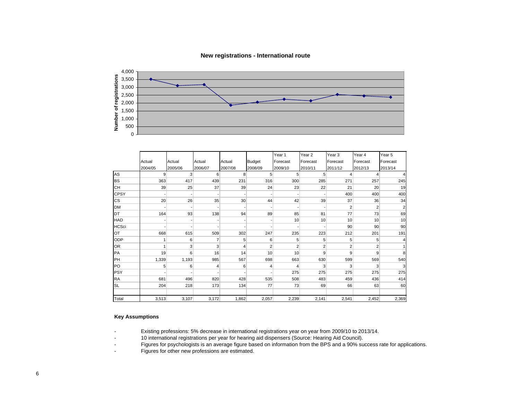

|              |                |                |         |         |                | Year 1         | Year <sub>2</sub> | Year <sub>3</sub> | Year 4         | Year <sub>5</sub> |
|--------------|----------------|----------------|---------|---------|----------------|----------------|-------------------|-------------------|----------------|-------------------|
|              | Actual         | Actual         | Actual  | Actual  | <b>Budget</b>  | Forecast       | Forecast          | Forecast          | Forecast       | Forecast          |
|              | 2004/05        | 2005/06        | 2006/07 | 2007/08 | 2008/09        | 2009/10        | 2010/11           | 2011/12           | 2012/13        | 2013/14           |
| AS           | $\overline{9}$ | $\overline{3}$ | 6       | 8       | 5              | 5              | 5                 | 4                 | $\overline{4}$ | 4                 |
| <b>BS</b>    | 363            | 417            | 439     | 231     | 316            | 300            | 285               | 271               | 257            | 245               |
| <b>CH</b>    | 39             | 25             | 37      | 39      | 24             | 23             | 22                | 21                | 20             | 19                |
| <b>CPSY</b>  |                |                |         |         |                |                |                   | 400               | 400            | 400               |
| <b>CS</b>    | 20             | 26             | 35      | 30      | 44             | 42             | 39                | 37                | 36             | 34                |
| <b>DM</b>    |                |                |         |         |                |                |                   | $\overline{2}$    | 2              | $\overline{2}$    |
| DT           | 164            | 93             | 138     | 94      | 89             | 85             | 81                | 77                | 73             | 69                |
| <b>HAD</b>   |                |                |         |         |                | 10             | 10                | 10                | 10             | 10                |
| <b>HCSci</b> |                |                |         |         |                |                |                   | 90                | 90             | 90                |
| OT           | 668            | 615            | 509     | 302     | 247            | 235            | 223               | 212               | 201            | 191               |
| <b>ODP</b>   |                | 6              | 7       | 5       | 6              | 5              | 5                 | 5                 | 5              | 4                 |
| OR           |                | 3 <sup>1</sup> | 3       | 4       | $\overline{2}$ | $\overline{2}$ | $\overline{2}$    | $\overline{2}$    | 2              | 1                 |
| PA           | 19             | 6              | 16      | 14      | 10             | 10             | 9                 | 9                 | 9              | 8                 |
| PH           | 1,339          | 1,193          | 985     | 567     | 698            | 663            | 630               | 599               | 569            | 540               |
| PO           | 5              | 6              | 4       | 6       | 4              | 4              | 3                 | 3                 | 3              | 3                 |
| <b>PSY</b>   |                |                |         |         |                | 275            | 275               | 275               | 275            | 275               |
| <b>RA</b>    | 681            | 496            | 820     | 428     | 535            | 508            | 483               | 459               | 436            | 414               |
| <b>SL</b>    | 204            | 218            | 173     | 134     | 77             | 73             | 69                | 66                | 63             | 60                |
| Total        | 3,513          | 3,107          | 3,172   | 1,862   | 2,057          | 2,239          | 2,141             | 2,541             | 2,452          | 2,369             |

#### **Key Assumptions**

Existing professions: 5% decrease in international registrations year on year from 2009/10 to 2013/14.

10 international registrations per year for hearing aid dispensers (Source: Hearing Aid Council).

-Figures for psychologists is an average figure based on information from the BPS and a 90% success rate for applications.

-Figures for other new professions are estimated.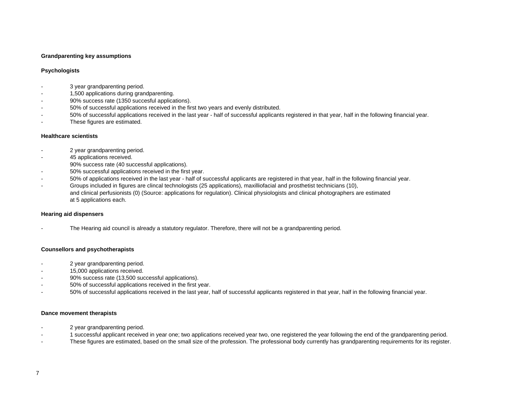#### **Grandparenting key assumptions**

#### **Psychologists**

- 3 year grandparenting period.
- 1,500 applications during grandparenting.
- 90% success rate (1350 succesful applications).
- 50% of successful applications received in the first two years and evenly distributed.
- 50% of successful applications received in the last year half of successful applicants registered in that year, half in the following financial year.
- These figures are estimated.

#### **Healthcare scientists**

- 2 year grandparenting period.
- 45 applications received.
- 90% success rate (40 successful applications).
- 50% successful applications received in the first year.
- 50% of applications received in the last year half of successful applicants are registered in that year, half in the following financial year.
- Groups included in figures are clincal technologists (25 applications), maxilliofacial and prosthetist technicians (10), and clinical perfusionists (0) (Source: applications for regulation). Clinical physiologists and clinical photographers are estimated at 5 applications each.

#### **Hearing aid dispensers**

The Hearing aid council is already a statutory regulator. Therefore, there will not be a grandparenting period.

#### **Counsellors and psychotherapists**

- 2 year grandparenting period.
- 15,000 applications received.
- 90% success rate (13,500 successful applications).
- 50% of successful applications received in the first year.
- 50% of successful applications received in the last year, half of successful applicants registered in that year, half in the following financial year.

#### **Dance movement therapists**

- 2 year grandparenting period.
- 1 successful applicant received in year one; two applications received year two, one registered the year following the end of the grandparenting period.
- These figures are estimated, based on the small size of the profession. The professional body currently has grandparenting requirements for its register.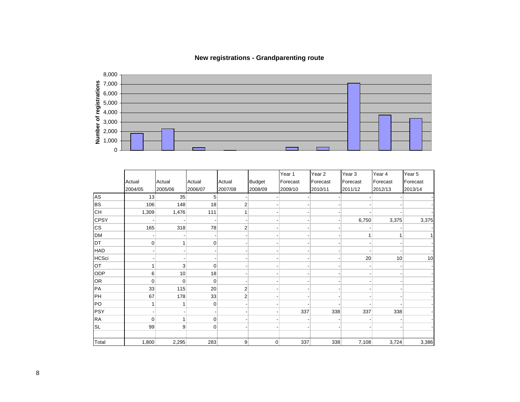

# **New registrations - Grandparenting route**

|              |             |                |                |                |                | Year 1   | Year <sub>2</sub> | Year <sub>3</sub> | Year 4   | Year 5         |
|--------------|-------------|----------------|----------------|----------------|----------------|----------|-------------------|-------------------|----------|----------------|
|              | Actual      | Actual         | Actual         | Actual         | <b>Budget</b>  | Forecast | Forecast          | Forecast          | Forecast | Forecast       |
|              | 2004/05     | 2005/06        | 2006/07        | 2007/08        | 2008/09        | 2009/10  | 2010/11           | 2011/12           | 2012/13  | 2013/14        |
| AS           | 13          | 35             | 5              |                |                |          |                   |                   |          |                |
| <b>BS</b>    | 106         | 148            | 18             | $\overline{2}$ |                |          |                   |                   |          |                |
| <b>CH</b>    | 1,309       | 1,476          | 111            |                |                |          |                   |                   |          |                |
| <b>CPSY</b>  |             |                |                |                |                |          |                   | 6,750             | 3,375    | 3,375          |
| CS           | 165         | 318            | 78             | $\overline{2}$ |                |          |                   |                   |          |                |
| <b>DM</b>    |             |                |                |                |                |          |                   |                   |          | 1 <sup>1</sup> |
| DT           | $\pmb{0}$   | 1              | $\overline{0}$ |                |                |          |                   |                   |          |                |
| HAD          |             |                |                |                |                |          |                   |                   |          |                |
| <b>HCSci</b> |             |                |                |                |                |          |                   | 20                | 10       | 10             |
| OT           |             | 3              | $\overline{0}$ |                |                |          |                   |                   |          |                |
| ODP          | 6           | 10             | 18             |                |                |          |                   |                   |          |                |
| OR           | $\mathbf 0$ | $\overline{0}$ | $\overline{0}$ |                |                |          |                   |                   |          |                |
| PA           | 33          | 115            | 20             | $\overline{2}$ |                |          |                   |                   |          |                |
| PH           | 67          | 178            | 33             | $\overline{2}$ |                |          |                   |                   |          |                |
| PO           |             | $\mathbf 1$    | 0              |                |                |          |                   |                   |          |                |
| <b>PSY</b>   |             |                |                |                |                | 337      | 338               | 337               | 338      |                |
| <b>RA</b>    | $\mathbf 0$ | 1              | $\overline{0}$ |                |                |          |                   |                   |          |                |
| SL           | 99          | 9              | $\overline{0}$ |                |                |          |                   |                   |          |                |
|              |             |                |                |                |                |          |                   |                   |          |                |
| Total        | 1,800       | 2,295          | 283            | $\overline{9}$ | $\overline{0}$ | 337      | 338               | 7,108             | 3,724    | 3,386          |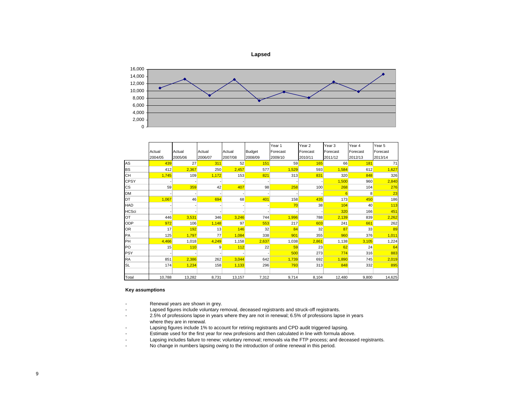

|              |         |         |         |         |               | Year 1   | Year <sub>2</sub> | Year <sub>3</sub> | Year 4   | Year 5   |
|--------------|---------|---------|---------|---------|---------------|----------|-------------------|-------------------|----------|----------|
|              | Actual  | Actual  | Actual  | Actual  | <b>Budget</b> | Forecast | Forecast          | Forecast          | Forecast | Forecast |
|              | 2004/05 | 2005/06 | 2006/07 | 2007/08 | 2008/09       | 2009/10  | 2010/11           | 2011/12           | 2012/13  | 2013/14  |
| AS           | 439     | 27      | 311     | 52      | 151           | 59       | 165               | 66                | 181      | 71       |
| <b>BS</b>    | 412     | 2,367   | 250     | 2,457   | 577           | 1,529    | 593               | 1.584             | 612      | 1,627    |
| <b>CH</b>    | 1,745   | 109     | 1,172   | 153     | 821           | 313      | 831               | 320               | 848      | 326      |
| <b>CPSY</b>  |         |         |         |         |               |          |                   | 1,500             | 960      | 2,840    |
| СS           | 59      | 359     | 42      | 407     | 98            | 258      | 100               | 268               | 104      | 276      |
| <b>DM</b>    |         |         |         |         |               |          |                   | 6                 | 8        | 23       |
| <b>DT</b>    | 1,067   | 46      | 694     | 68      | 401           | 158      | 435               | 173               | 450      | 186      |
| HAD          |         |         |         |         |               | 70       | 38                | 104               | 40       | 113      |
| <b>HCSci</b> |         |         |         |         |               |          |                   | 320               | 166      | 451      |
| OT           | 446     | 3,531   | 346     | 3,246   | 744           | 1,996    | 788               | 2,139             | 839      | 2,262    |
| ODP          | 972     | 106     | 1,148   | 97      | 553           | 217      | 603               | 241               | 661      | 262      |
| OR           | 17      | 192     | 13      | 146     | 32            | 84       | 32                | 87                | 33       | 89       |
| PA           | 125     | 1,797   | 77      | 1.084   | 338           | 901      | 355               | 960               | 376      | 1,011    |
| PH           | 4,466   | 1,018   | 4,249   | 1,158   | 2,637         | 1,038    | 2,861             | 1,138             | 3,105    | 1,224    |
| PO.          | 15      | 110     | 9       | 112     | 22            | 59       | 23                | 62                | 24       | 64       |
| <b>PSY</b>   |         |         |         |         |               | 500      | 273               | 774               | 316      | 883      |
| <b>RA</b>    | 851     | 2,386   | 262     | 3,044   | 642           | 1,739    | 692               | 1,890             | 745      | 2,019    |
| <b>SL</b>    | 174     | 1,234   | 158     | 1,133   | 296           | 793      | 313               | 848               | 332      | 895      |
|              |         |         |         |         |               |          |                   |                   |          |          |
| Total        | 10,788  | 13,282  | 8,731   | 13,157  | 7,312         | 9,714    | 8,104             | 12,480            | 9,800    | 14,625   |

#### **Key assumptions**

- -Renewal years are shown in grey.
- Lapsed figures include voluntary removal, deceased registrants and struck-off registrants.
- 2.5% of professions lapse in years where they are not in renewal; 6.5% of professions lapse in years where they are in renewal.
- -Lapsing figures include 1% to account for retiring registrants and CPD audit triggered lapsing.
- Estimate used for the first year for new profesions and then calculated in line with formula above.
- -Lapsing includes failure to renew; voluntary removal; removals via the FTP process; and deceased registrants.
- -No change in numbers lapsing owing to the introduction of online renewal in this period.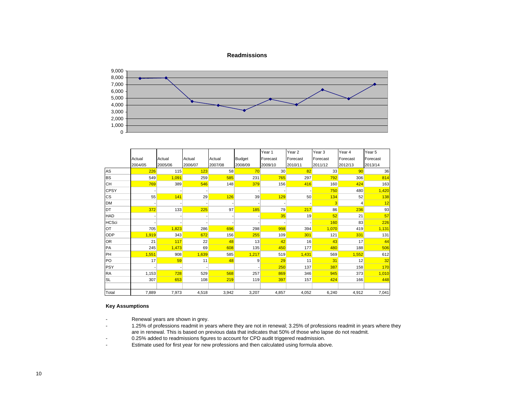#### **Readmissions**



|              |         |         |         |         |               | Year 1          | Year <sub>2</sub> | Year <sub>3</sub> | Year 4   | Year <sub>5</sub> |
|--------------|---------|---------|---------|---------|---------------|-----------------|-------------------|-------------------|----------|-------------------|
|              | Actual  | Actual  | Actual  | Actual  | <b>Budget</b> | Forecast        | Forecast          | Forecast          | Forecast | Forecast          |
|              | 2004/05 | 2005/06 | 2006/07 | 2007/08 | 2008/09       | 2009/10         | 2010/11           | 2011/12           | 2012/13  | 2013/14           |
| AS           | 226     | 115     | 123     | 58      | 70            | 30 <sup>°</sup> | 82                | 33                | 90       | 36                |
| <b>BS</b>    | 549     | 1,091   | 259     | 585     | 231           | 765             | 297               | 792               | 306      | 814               |
| <b>CH</b>    | 769     | 389     | 546     | 148     | 379           | 156             | 416               | 160               | 424      | 163               |
| <b>CPSY</b>  |         |         |         |         |               |                 |                   | 750               | 480      | 1,420             |
| <b>CS</b>    | 55      | 141     | 29      | 126     | 39            | 129             | 50                | 134               | 52       | 138               |
| <b>DM</b>    |         |         |         |         |               |                 |                   | 3                 | 4        | 12                |
| DT           | 372     | 133     | 225     | 97      | 185           | 79              | 217               | 86                | 236      | 93                |
| <b>HAD</b>   |         |         |         |         |               | 35              | 19                | 52                | 21       | 57                |
| <b>HCSci</b> |         |         |         |         |               |                 |                   | 160               | 83       | 226               |
| OT           | 705     | 1,823   | 286     | 696     | 298           | 998             | 394               | 1,070             | 419      | 1,131             |
| ODP          | 1,919   | 343     | 672     | 156     | 255           | 109             | 301               | 121               | 331      | 131               |
| <b>OR</b>    | 21      | 117     | 22      | 48      | 13            | 42              | 16                | 43                | 17       | 44                |
| <b>PA</b>    | 245     | 1,473   | 69      | 608     | 135           | 450             | 177               | 480               | 188      | 506               |
| PH           | 1,551   | 908     | 1,639   | 585     | 1,217         | 519             | 1,431             | 569               | 1,552    | 612               |
| <b>PO</b>    | 17      | 59      | 11      | 48      | 9             | 29              | 11                | 31                | 12       | 32                |
| <b>PSY</b>   |         |         |         |         |               | 250             | 137               | 387               | 158      | 170               |
| <b>RA</b>    | 1,153   | 728     | 529     | 568     | 257           | 869             | 346               | 945               | 373      | 1,010             |
| <b>SL</b>    | 307     | 653     | 108     | 219     | 119           | 397             | 157               | 424               | 166      | 448               |
|              |         |         |         |         |               |                 |                   |                   |          |                   |
| Total        | 7,889   | 7,973   | 4,518   | 3,942   | 3,207         | 4,857           | 4,052             | 6,240             | 4,912    | 7,041             |

#### **Key Assumptions**

-

-Renewal years are shown in grey.

 1.25% of professions readmit in years where they are not in renewal; 3.25% of professions readmit in years where they are in renewal. This is based on previous data that indicates that 50% of those who lapse do not readmit.

-0.25% added to readmissions figures to account for CPD audit triggered readmission.

-Estimate used for first year for new professions and then calculated using formula above.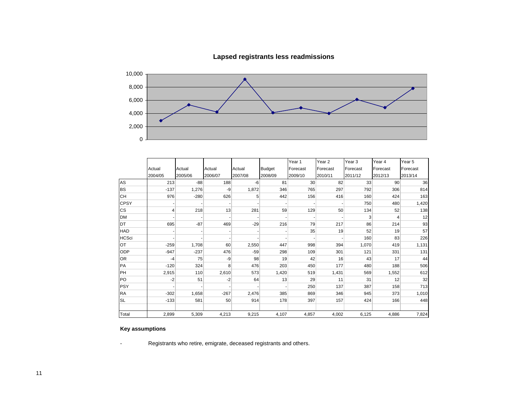

# **Lapsed registrants less readmissions**

|              |         |         |         |         |               | Year 1          | Year <sub>2</sub> | Year <sub>3</sub> | Year 4   | Year 5   |
|--------------|---------|---------|---------|---------|---------------|-----------------|-------------------|-------------------|----------|----------|
|              | Actual  | Actual  | Actual  | Actual  | <b>Budget</b> | Forecast        | Forecast          | Forecast          | Forecast | Forecast |
|              | 2004/05 | 2005/06 | 2006/07 | 2007/08 | 2008/09       | 2009/10         | 2010/11           | 2011/12           | 2012/13  | 2013/14  |
| AS           | 213     | $-88$   | 188     | $-6$    | 81            | 30 <sup>°</sup> | 82                | 33                | 90       | 36       |
| <b>BS</b>    | $-137$  | 1,276   | -9      | 1,872   | 346           | 765             | 297               | 792               | 306      | 814      |
| <b>CH</b>    | 976     | $-280$  | 626     | 5       | 442           | 156             | 416               | 160               | 424      | 163      |
| <b>CPSY</b>  |         |         |         |         |               |                 |                   | 750               | 480      | 1,420    |
| <b>CS</b>    | 4       | 218     | 13      | 281     | 59            | 129             | 50                | 134               | 52       | 138      |
| <b>DM</b>    |         |         |         |         |               |                 |                   | 3                 | 4        | 12       |
| <b>DT</b>    | 695     | $-87$   | 469     | $-29$   | 216           | 79              | 217               | 86                | 214      | 93       |
| HAD          |         |         |         |         |               | 35              | 19                | 52                | 19       | 57       |
| <b>HCSci</b> |         |         |         |         |               |                 |                   | 160               | 83       | 226      |
| OT           | $-259$  | 1,708   | 60      | 2,550   | 447           | 998             | 394               | 1,070             | 419      | 1,131    |
| <b>ODP</b>   | $-947$  | $-237$  | 476     | $-59$   | 298           | 109             | 301               | 121               | 331      | 131      |
| <b>OR</b>    | $-4$    | 75      | -9      | 98      | 19            | 42              | 16                | 43                | 17       | 44       |
| PA           | $-120$  | 324     | 8       | 476     | 203           | 450             | 177               | 480               | 188      | 506      |
| PH           | 2,915   | 110     | 2,610   | 573     | 1,420         | 519             | 1,431             | 569               | 1,552    | 612      |
| PO           | $-2$    | 51      | $-2$    | 64      | 13            | 29              | 11                | 31                | 12       | 32       |
| <b>PSY</b>   |         |         |         |         |               | 250             | 137               | 387               | 158      | 713      |
| <b>RA</b>    | $-302$  | 1,658   | $-267$  | 2,476   | 385           | 869             | 346               | 945               | 373      | 1,010    |
| <b>SL</b>    | $-133$  | 581     | 50      | 914     | 178           | 397             | 157               | 424               | 166      | 448      |
|              |         |         |         |         |               |                 |                   |                   |          |          |
| Total        | 2,899   | 5,309   | 4,213   | 9,215   | 4,107         | 4,857           | 4,002             | 6,125             | 4,886    | 7,824    |

## **Key assumptions**

Registrants who retire, emigrate, deceased registrants and others.